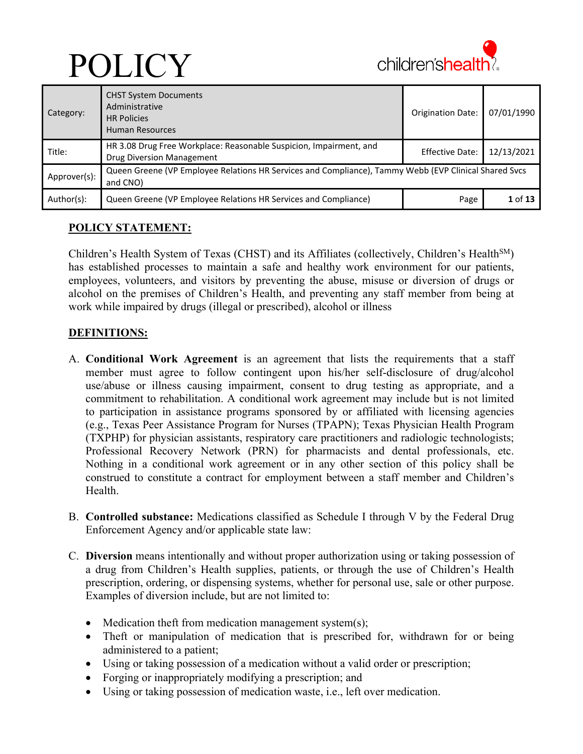



| Category:    | <b>CHST System Documents</b><br>Administrative<br><b>HR Policies</b><br><b>Human Resources</b>                    | <b>Origination Date:</b> | 07/01/1990 |  |
|--------------|-------------------------------------------------------------------------------------------------------------------|--------------------------|------------|--|
| Title:       | HR 3.08 Drug Free Workplace: Reasonable Suspicion, Impairment, and<br><b>Drug Diversion Management</b>            | <b>Effective Date:</b>   | 12/13/2021 |  |
| Approver(s): | Queen Greene (VP Employee Relations HR Services and Compliance), Tammy Webb (EVP Clinical Shared Svcs<br>and CNO) |                          |            |  |
| Author(s):   | Queen Greene (VP Employee Relations HR Services and Compliance)                                                   | Page                     | 1 of 13    |  |

## **POLICY STATEMENT:**

Children's Health System of Texas (CHST) and its Affiliates (collectively, Children's Health<sup>SM</sup>) has established processes to maintain a safe and healthy work environment for our patients, employees, volunteers, and visitors by preventing the abuse, misuse or diversion of drugs or alcohol on the premises of Children's Health, and preventing any staff member from being at work while impaired by drugs (illegal or prescribed), alcohol or illness

## **DEFINITIONS:**

- A. **Conditional Work Agreement** is an agreement that lists the requirements that a staff member must agree to follow contingent upon his/her self-disclosure of drug/alcohol use/abuse or illness causing impairment, consent to drug testing as appropriate, and a commitment to rehabilitation. A conditional work agreement may include but is not limited to participation in assistance programs sponsored by or affiliated with licensing agencies (e.g., Texas Peer Assistance Program for Nurses (TPAPN); Texas Physician Health Program (TXPHP) for physician assistants, respiratory care practitioners and radiologic technologists; Professional Recovery Network (PRN) for pharmacists and dental professionals, etc. Nothing in a conditional work agreement or in any other section of this policy shall be construed to constitute a contract for employment between a staff member and Children's **Health**
- B. **Controlled substance:** Medications classified as Schedule I through V by the Federal Drug Enforcement Agency and/or applicable state law:
- C. **Diversion** means intentionally and without proper authorization using or taking possession of a drug from Children's Health supplies, patients, or through the use of Children's Health prescription, ordering, or dispensing systems, whether for personal use, sale or other purpose. Examples of diversion include, but are not limited to:
	- $\bullet$  Medication theft from medication management system(s);
	- Theft or manipulation of medication that is prescribed for, withdrawn for or being administered to a patient;
	- Using or taking possession of a medication without a valid order or prescription;
	- Forging or inappropriately modifying a prescription; and
	- Using or taking possession of medication waste, i.e., left over medication.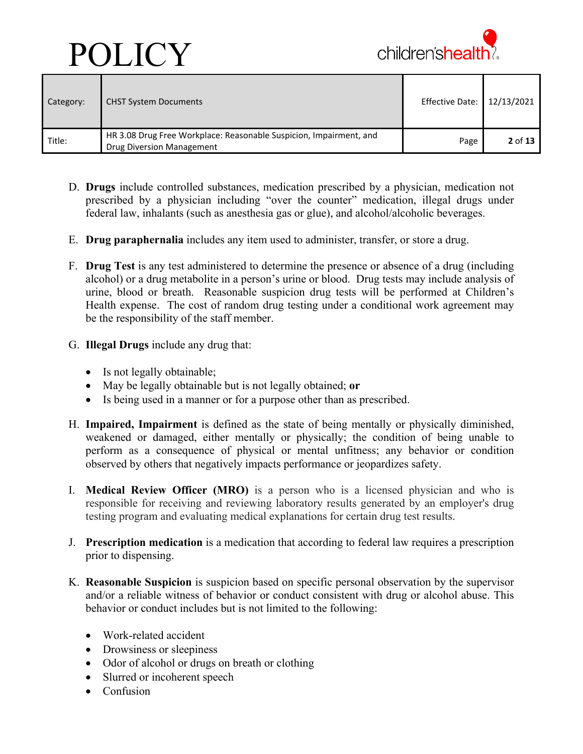

| Category: | <b>CHST System Documents</b>                                                                           | Effective Date:   12/13/2021 |           |
|-----------|--------------------------------------------------------------------------------------------------------|------------------------------|-----------|
| Title:    | HR 3.08 Drug Free Workplace: Reasonable Suspicion, Impairment, and<br><b>Drug Diversion Management</b> | Page                         | $2$ of 13 |

- D. **Drugs** include controlled substances, medication prescribed by a physician, medication not prescribed by a physician including "over the counter" medication, illegal drugs under federal law, inhalants (such as anesthesia gas or glue), and alcohol/alcoholic beverages.
- E. **Drug paraphernalia** includes any item used to administer, transfer, or store a drug.
- F. **Drug Test** is any test administered to determine the presence or absence of a drug (including alcohol) or a drug metabolite in a person's urine or blood. Drug tests may include analysis of urine, blood or breath. Reasonable suspicion drug tests will be performed at Children's Health expense. The cost of random drug testing under a conditional work agreement may be the responsibility of the staff member.
- G. **Illegal Drugs** include any drug that:
	- Is not legally obtainable;
	- May be legally obtainable but is not legally obtained; **or**
	- Is being used in a manner or for a purpose other than as prescribed.
- H. **Impaired, Impairment** is defined as the state of being mentally or physically diminished, weakened or damaged, either mentally or physically; the condition of being unable to perform as a consequence of physical or mental unfitness; any behavior or condition observed by others that negatively impacts performance or jeopardizes safety.
- I. **Medical Review Officer (MRO)** is a person who is a licensed physician and who is responsible for receiving and reviewing laboratory results generated by an employer's drug testing program and evaluating medical explanations for certain drug test results.
- J. **Prescription medication** is a medication that according to federal law requires a prescription prior to dispensing.
- K. **Reasonable Suspicion** is suspicion based on specific personal observation by the supervisor and/or a reliable witness of behavior or conduct consistent with drug or alcohol abuse. This behavior or conduct includes but is not limited to the following:
	- Work-related accident
	- Drowsiness or sleepiness
	- Odor of alcohol or drugs on breath or clothing
	- Slurred or incoherent speech
	- Confusion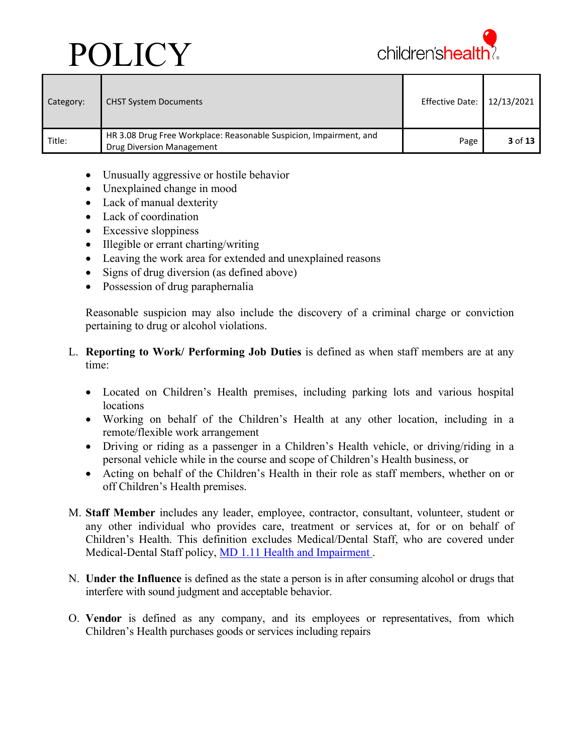

| Category: | <b>CHST System Documents</b>                                                                    | Effective Date:   12/13/2021 |         |
|-----------|-------------------------------------------------------------------------------------------------|------------------------------|---------|
| Title:    | HR 3.08 Drug Free Workplace: Reasonable Suspicion, Impairment, and<br>Drug Diversion Management | Page                         | 3 of 13 |

- Unusually aggressive or hostile behavior
- Unexplained change in mood
- Lack of manual dexterity
- Lack of coordination
- Excessive sloppiness
- Illegible or errant charting/writing
- Leaving the work area for extended and unexplained reasons
- Signs of drug diversion (as defined above)
- Possession of drug paraphernalia

Reasonable suspicion may also include the discovery of a criminal charge or conviction pertaining to drug or alcohol violations.

- L. **Reporting to Work/ Performing Job Duties** is defined as when staff members are at any time:
	- Located on Children's Health premises, including parking lots and various hospital locations
	- Working on behalf of the Children's Health at any other location, including in a remote/flexible work arrangement
	- Driving or riding as a passenger in a Children's Health vehicle, or driving/riding in a personal vehicle while in the course and scope of Children's Health business, or
	- Acting on behalf of the Children's Health in their role as staff members, whether on or off Children's Health premises.
- M. **Staff Member** includes any leader, employee, contractor, consultant, volunteer, student or any other individual who provides care, treatment or services at, for or on behalf of Children's Health. This definition excludes Medical/Dental Staff, who are covered under Medical-Dental Staff policy, MD 1.11 Health and Impairment.
- N. **Under the Influence** is defined as the state a person is in after consuming alcohol or drugs that interfere with sound judgment and acceptable behavior.
- O. **Vendor** is defined as any company, and its employees or representatives, from which Children's Health purchases goods or services including repairs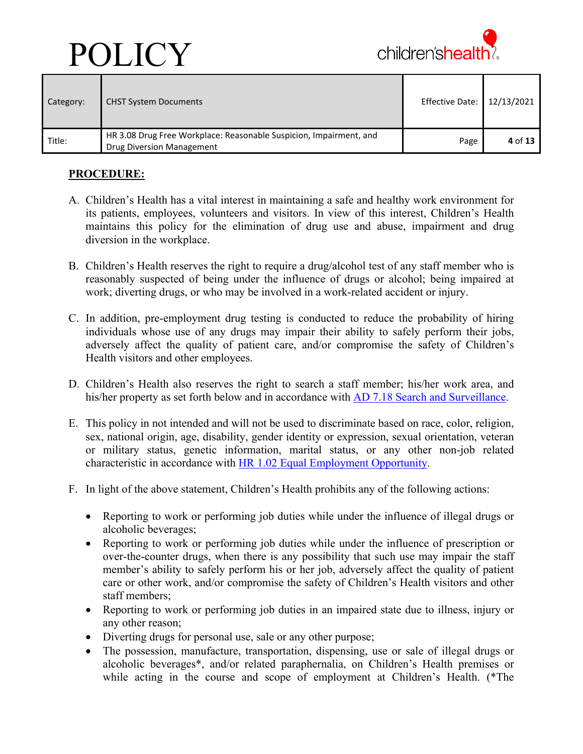

| Category: | <b>CHST System Documents</b>                                                                    | Effective Date:   12/13/2021 |         |
|-----------|-------------------------------------------------------------------------------------------------|------------------------------|---------|
| Title:    | HR 3.08 Drug Free Workplace: Reasonable Suspicion, Impairment, and<br>Drug Diversion Management | Page                         | 4 of 13 |

### **PROCEDURE:**

- A. Children's Health has a vital interest in maintaining a safe and healthy work environment for its patients, employees, volunteers and visitors. In view of this interest, Children's Health maintains this policy for the elimination of drug use and abuse, impairment and drug diversion in the workplace.
- B. Children's Health reserves the right to require a drug/alcohol test of any staff member who is reasonably suspected of being under the influence of drugs or alcohol; being impaired at work; diverting drugs, or who may be involved in a work-related accident or injury.
- C. In addition, pre-employment drug testing is conducted to reduce the probability of hiring individuals whose use of any drugs may impair their ability to safely perform their jobs, adversely affect the quality of patient care, and/or compromise the safety of Children's Health visitors and other employees.
- D. Children's Health also reserves the right to search a staff member; his/her work area, and his/her property as set forth below and in accordance with [AD 7.18 Search and Surveillance.](https://secure.compliance360.com/ext/IEKIZNwRbS41dX8tfT4Jf7PxlcbduZ_l)
- E. This policy in not intended and will not be used to discriminate based on race, color, religion, sex, national origin, age, disability, gender identity or expression, sexual orientation, veteran or military status, genetic information, marital status, or any other non-job related characteristic in accordance with [HR 1.02 Equal Employment Opportunity.](https://secure.compliance360.com/ext/IEKIZNwRbS41dX8tfT4Jf8JXcVkO5nBx)
- F. In light of the above statement, Children's Health prohibits any of the following actions:
	- Reporting to work or performing job duties while under the influence of illegal drugs or alcoholic beverages;
	- Reporting to work or performing job duties while under the influence of prescription or over-the-counter drugs, when there is any possibility that such use may impair the staff member's ability to safely perform his or her job, adversely affect the quality of patient care or other work, and/or compromise the safety of Children's Health visitors and other staff members;
	- Reporting to work or performing job duties in an impaired state due to illness, injury or any other reason;
	- Diverting drugs for personal use, sale or any other purpose;
	- The possession, manufacture, transportation, dispensing, use or sale of illegal drugs or alcoholic beverages\*, and/or related paraphernalia, on Children's Health premises or while acting in the course and scope of employment at Children's Health. (\*The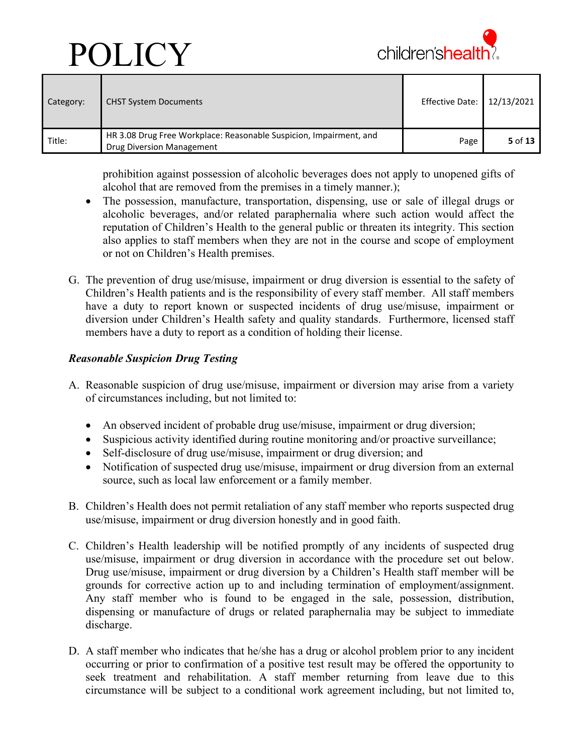

| Category: | <b>CHST System Documents</b>                                                                    | Effective Date:   12/13/2021 |         |
|-----------|-------------------------------------------------------------------------------------------------|------------------------------|---------|
| Title:    | HR 3.08 Drug Free Workplace: Reasonable Suspicion, Impairment, and<br>Drug Diversion Management | Page                         | 5 of 13 |

prohibition against possession of alcoholic beverages does not apply to unopened gifts of alcohol that are removed from the premises in a timely manner.);

- The possession, manufacture, transportation, dispensing, use or sale of illegal drugs or alcoholic beverages, and/or related paraphernalia where such action would affect the reputation of Children's Health to the general public or threaten its integrity. This section also applies to staff members when they are not in the course and scope of employment or not on Children's Health premises.
- G. The prevention of drug use/misuse, impairment or drug diversion is essential to the safety of Children's Health patients and is the responsibility of every staff member. All staff members have a duty to report known or suspected incidents of drug use/misuse, impairment or diversion under Children's Health safety and quality standards. Furthermore, licensed staff members have a duty to report as a condition of holding their license.

## *Reasonable Suspicion Drug Testing*

- A. Reasonable suspicion of drug use/misuse, impairment or diversion may arise from a variety of circumstances including, but not limited to:
	- An observed incident of probable drug use/misuse, impairment or drug diversion;
	- Suspicious activity identified during routine monitoring and/or proactive surveillance;
	- Self-disclosure of drug use/misuse, impairment or drug diversion; and
	- Notification of suspected drug use/misuse, impairment or drug diversion from an external source, such as local law enforcement or a family member.
- B. Children's Health does not permit retaliation of any staff member who reports suspected drug use/misuse, impairment or drug diversion honestly and in good faith.
- C. Children's Health leadership will be notified promptly of any incidents of suspected drug use/misuse, impairment or drug diversion in accordance with the procedure set out below. Drug use/misuse, impairment or drug diversion by a Children's Health staff member will be grounds for corrective action up to and including termination of employment/assignment. Any staff member who is found to be engaged in the sale, possession, distribution, dispensing or manufacture of drugs or related paraphernalia may be subject to immediate discharge.
- D. A staff member who indicates that he/she has a drug or alcohol problem prior to any incident occurring or prior to confirmation of a positive test result may be offered the opportunity to seek treatment and rehabilitation. A staff member returning from leave due to this circumstance will be subject to a conditional work agreement including, but not limited to,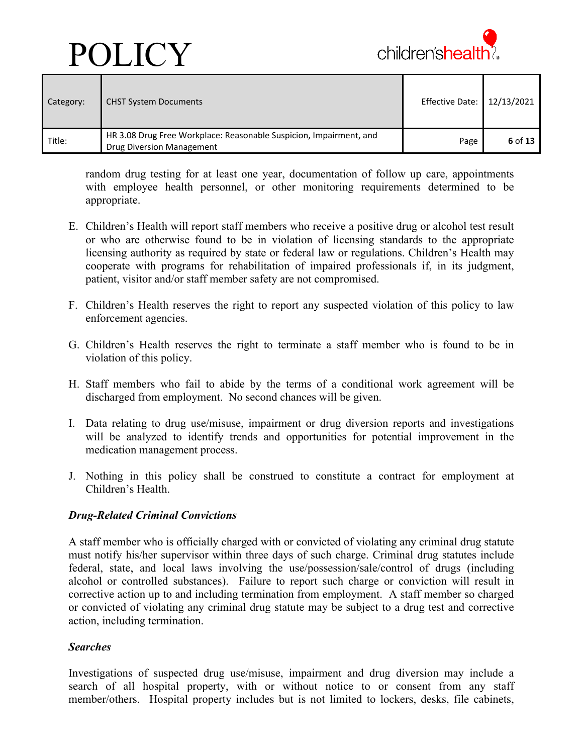

| Category: | <b>CHST System Documents</b>                                                                    | Effective Date:   12/13/2021 |         |
|-----------|-------------------------------------------------------------------------------------------------|------------------------------|---------|
| Title:    | HR 3.08 Drug Free Workplace: Reasonable Suspicion, Impairment, and<br>Drug Diversion Management | Page                         | 6 of 13 |

random drug testing for at least one year, documentation of follow up care, appointments with employee health personnel, or other monitoring requirements determined to be appropriate.

- E. Children's Health will report staff members who receive a positive drug or alcohol test result or who are otherwise found to be in violation of licensing standards to the appropriate licensing authority as required by state or federal law or regulations. Children's Health may cooperate with programs for rehabilitation of impaired professionals if, in its judgment, patient, visitor and/or staff member safety are not compromised.
- F. Children's Health reserves the right to report any suspected violation of this policy to law enforcement agencies.
- G. Children's Health reserves the right to terminate a staff member who is found to be in violation of this policy.
- H. Staff members who fail to abide by the terms of a conditional work agreement will be discharged from employment. No second chances will be given.
- I. Data relating to drug use/misuse, impairment or drug diversion reports and investigations will be analyzed to identify trends and opportunities for potential improvement in the medication management process.
- J. Nothing in this policy shall be construed to constitute a contract for employment at Children's Health.

### *Drug-Related Criminal Convictions*

A staff member who is officially charged with or convicted of violating any criminal drug statute must notify his/her supervisor within three days of such charge. Criminal drug statutes include federal, state, and local laws involving the use/possession/sale/control of drugs (including alcohol or controlled substances). Failure to report such charge or conviction will result in corrective action up to and including termination from employment. A staff member so charged or convicted of violating any criminal drug statute may be subject to a drug test and corrective action, including termination.

### *Searches*

Investigations of suspected drug use/misuse, impairment and drug diversion may include a search of all hospital property, with or without notice to or consent from any staff member/others. Hospital property includes but is not limited to lockers, desks, file cabinets,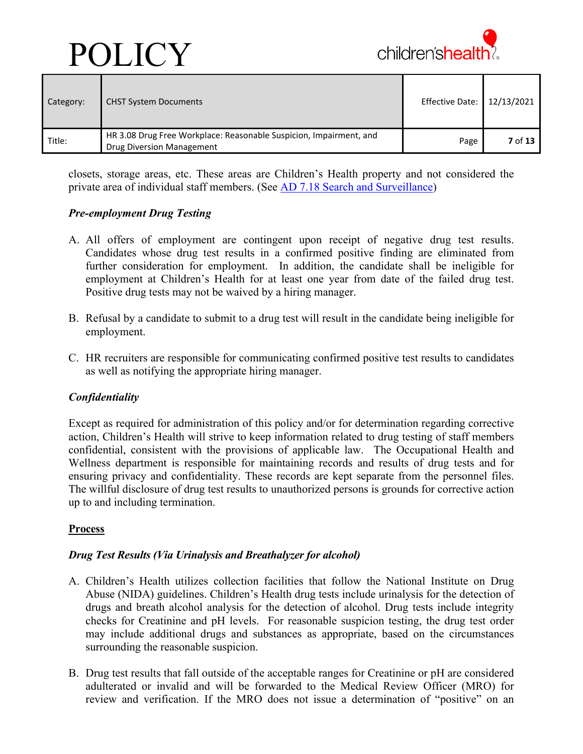

| Category: | <b>CHST System Documents</b>                                                                    | Effective Date:   12/13/2021 |           |
|-----------|-------------------------------------------------------------------------------------------------|------------------------------|-----------|
| Title:    | HR 3.08 Drug Free Workplace: Reasonable Suspicion, Impairment, and<br>Drug Diversion Management | Page                         | $7$ of 13 |

closets, storage areas, etc. These areas are Children's Health property and not considered the private area of individual staff members. (See [AD 7.18 Search and Surveillance\)](https://secure.compliance360.com/ext/IEKIZNwRbS41dX8tfT4Jf7PxlcbduZ_l)

### *Pre-employment Drug Testing*

- A. All offers of employment are contingent upon receipt of negative drug test results. Candidates whose drug test results in a confirmed positive finding are eliminated from further consideration for employment. In addition, the candidate shall be ineligible for employment at Children's Health for at least one year from date of the failed drug test. Positive drug tests may not be waived by a hiring manager.
- B. Refusal by a candidate to submit to a drug test will result in the candidate being ineligible for employment.
- C. HR recruiters are responsible for communicating confirmed positive test results to candidates as well as notifying the appropriate hiring manager.

### *Confidentiality*

Except as required for administration of this policy and/or for determination regarding corrective action, Children's Health will strive to keep information related to drug testing of staff members confidential, consistent with the provisions of applicable law. The Occupational Health and Wellness department is responsible for maintaining records and results of drug tests and for ensuring privacy and confidentiality. These records are kept separate from the personnel files. The willful disclosure of drug test results to unauthorized persons is grounds for corrective action up to and including termination.

### **Process**

### *Drug Test Results (Via Urinalysis and Breathalyzer for alcohol)*

- A. Children's Health utilizes collection facilities that follow the National Institute on Drug Abuse (NIDA) guidelines. Children's Health drug tests include urinalysis for the detection of drugs and breath alcohol analysis for the detection of alcohol. Drug tests include integrity checks for Creatinine and pH levels. For reasonable suspicion testing, the drug test order may include additional drugs and substances as appropriate, based on the circumstances surrounding the reasonable suspicion.
- B. Drug test results that fall outside of the acceptable ranges for Creatinine or pH are considered adulterated or invalid and will be forwarded to the Medical Review Officer (MRO) for review and verification. If the MRO does not issue a determination of "positive" on an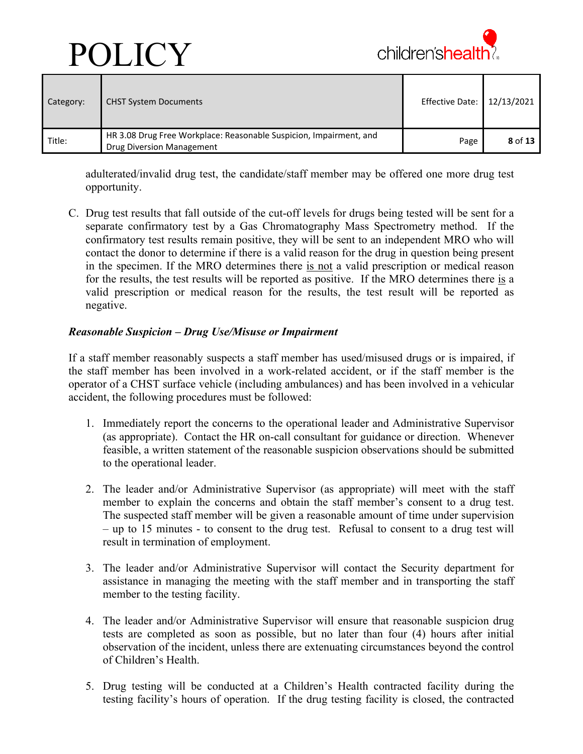

| Category: | <b>CHST System Documents</b>                                                                    | Effective Date:   12/13/2021 |         |
|-----------|-------------------------------------------------------------------------------------------------|------------------------------|---------|
| Title:    | HR 3.08 Drug Free Workplace: Reasonable Suspicion, Impairment, and<br>Drug Diversion Management | Page                         | 8 of 13 |

adulterated/invalid drug test, the candidate/staff member may be offered one more drug test opportunity.

C. Drug test results that fall outside of the cut-off levels for drugs being tested will be sent for a separate confirmatory test by a Gas Chromatography Mass Spectrometry method. If the confirmatory test results remain positive, they will be sent to an independent MRO who will contact the donor to determine if there is a valid reason for the drug in question being present in the specimen. If the MRO determines there is not a valid prescription or medical reason for the results, the test results will be reported as positive. If the MRO determines there is a valid prescription or medical reason for the results, the test result will be reported as negative.

## *Reasonable Suspicion – Drug Use/Misuse or Impairment*

If a staff member reasonably suspects a staff member has used/misused drugs or is impaired, if the staff member has been involved in a work-related accident, or if the staff member is the operator of a CHST surface vehicle (including ambulances) and has been involved in a vehicular accident, the following procedures must be followed:

- 1. Immediately report the concerns to the operational leader and Administrative Supervisor (as appropriate). Contact the HR on-call consultant for guidance or direction. Whenever feasible, a written statement of the reasonable suspicion observations should be submitted to the operational leader.
- 2. The leader and/or Administrative Supervisor (as appropriate) will meet with the staff member to explain the concerns and obtain the staff member's consent to a drug test. The suspected staff member will be given a reasonable amount of time under supervision – up to 15 minutes - to consent to the drug test. Refusal to consent to a drug test will result in termination of employment.
- 3. The leader and/or Administrative Supervisor will contact the Security department for assistance in managing the meeting with the staff member and in transporting the staff member to the testing facility.
- 4. The leader and/or Administrative Supervisor will ensure that reasonable suspicion drug tests are completed as soon as possible, but no later than four (4) hours after initial observation of the incident, unless there are extenuating circumstances beyond the control of Children's Health.
- 5. Drug testing will be conducted at a Children's Health contracted facility during the testing facility's hours of operation. If the drug testing facility is closed, the contracted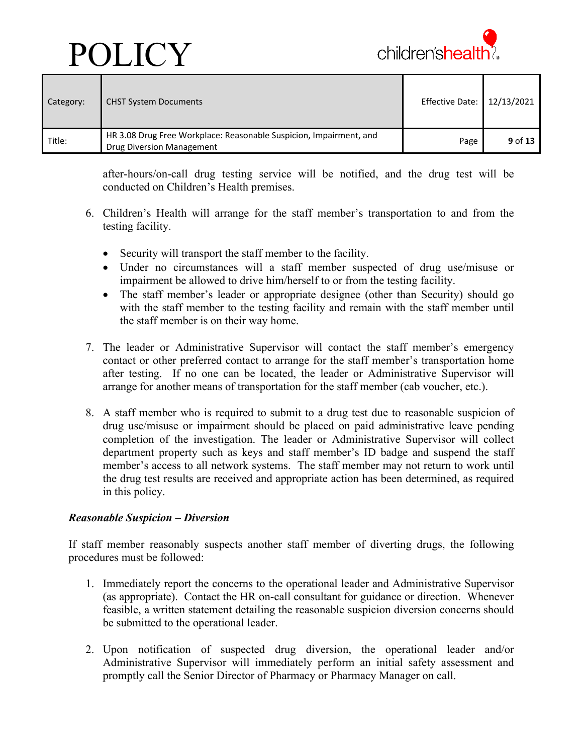

| Category: | <b>CHST System Documents</b>                                                                    | Effective Date:   12/13/2021 |         |
|-----------|-------------------------------------------------------------------------------------------------|------------------------------|---------|
| Title:    | HR 3.08 Drug Free Workplace: Reasonable Suspicion, Impairment, and<br>Drug Diversion Management | Page                         | 9 of 13 |

after-hours/on-call drug testing service will be notified, and the drug test will be conducted on Children's Health premises.

- 6. Children's Health will arrange for the staff member's transportation to and from the testing facility.
	- Security will transport the staff member to the facility.
	- Under no circumstances will a staff member suspected of drug use/misuse or impairment be allowed to drive him/herself to or from the testing facility.
	- The staff member's leader or appropriate designee (other than Security) should go with the staff member to the testing facility and remain with the staff member until the staff member is on their way home.
- 7. The leader or Administrative Supervisor will contact the staff member's emergency contact or other preferred contact to arrange for the staff member's transportation home after testing. If no one can be located, the leader or Administrative Supervisor will arrange for another means of transportation for the staff member (cab voucher, etc.).
- 8. A staff member who is required to submit to a drug test due to reasonable suspicion of drug use/misuse or impairment should be placed on paid administrative leave pending completion of the investigation. The leader or Administrative Supervisor will collect department property such as keys and staff member's ID badge and suspend the staff member's access to all network systems. The staff member may not return to work until the drug test results are received and appropriate action has been determined, as required in this policy.

### *Reasonable Suspicion – Diversion*

If staff member reasonably suspects another staff member of diverting drugs, the following procedures must be followed:

- 1. Immediately report the concerns to the operational leader and Administrative Supervisor (as appropriate). Contact the HR on-call consultant for guidance or direction. Whenever feasible, a written statement detailing the reasonable suspicion diversion concerns should be submitted to the operational leader.
- 2. Upon notification of suspected drug diversion, the operational leader and/or Administrative Supervisor will immediately perform an initial safety assessment and promptly call the Senior Director of Pharmacy or Pharmacy Manager on call.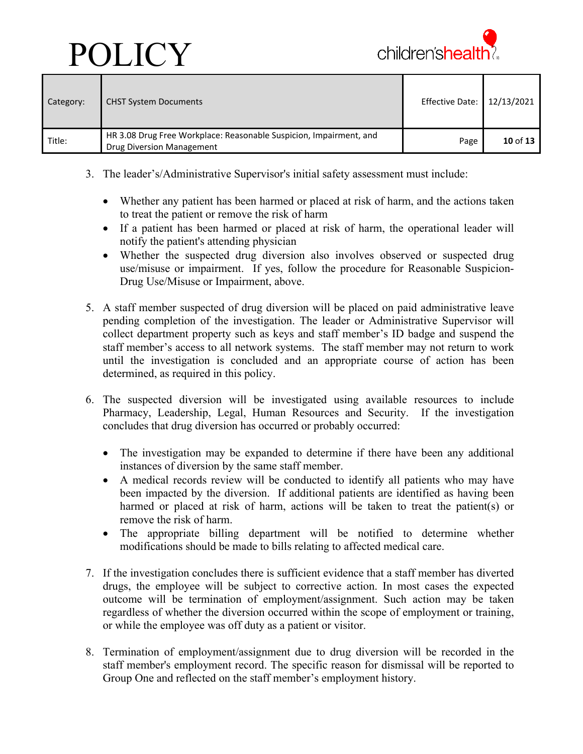

| Category: | <b>CHST System Documents</b>                                                                    | Effective Date:   12/13/2021 |              |
|-----------|-------------------------------------------------------------------------------------------------|------------------------------|--------------|
| Title:    | HR 3.08 Drug Free Workplace: Reasonable Suspicion, Impairment, and<br>Drug Diversion Management | Page                         | $10$ of $13$ |

- 3. The leader's/Administrative Supervisor's initial safety assessment must include:
	- Whether any patient has been harmed or placed at risk of harm, and the actions taken to treat the patient or remove the risk of harm
	- If a patient has been harmed or placed at risk of harm, the operational leader will notify the patient's attending physician
	- Whether the suspected drug diversion also involves observed or suspected drug use/misuse or impairment. If yes, follow the procedure for Reasonable Suspicion-Drug Use/Misuse or Impairment, above.
- 5. A staff member suspected of drug diversion will be placed on paid administrative leave pending completion of the investigation. The leader or Administrative Supervisor will collect department property such as keys and staff member's ID badge and suspend the staff member's access to all network systems. The staff member may not return to work until the investigation is concluded and an appropriate course of action has been determined, as required in this policy.
- 6. The suspected diversion will be investigated using available resources to include Pharmacy, Leadership, Legal, Human Resources and Security. If the investigation concludes that drug diversion has occurred or probably occurred:
	- The investigation may be expanded to determine if there have been any additional instances of diversion by the same staff member.
	- A medical records review will be conducted to identify all patients who may have been impacted by the diversion. If additional patients are identified as having been harmed or placed at risk of harm, actions will be taken to treat the patient(s) or remove the risk of harm.
	- The appropriate billing department will be notified to determine whether modifications should be made to bills relating to affected medical care.
- 7. If the investigation concludes there is sufficient evidence that a staff member has diverted drugs, the employee will be subject to corrective action. In most cases the expected outcome will be termination of employment/assignment. Such action may be taken regardless of whether the diversion occurred within the scope of employment or training, or while the employee was off duty as a patient or visitor.
- 8. Termination of employment/assignment due to drug diversion will be recorded in the staff member's employment record. The specific reason for dismissal will be reported to Group One and reflected on the staff member's employment history.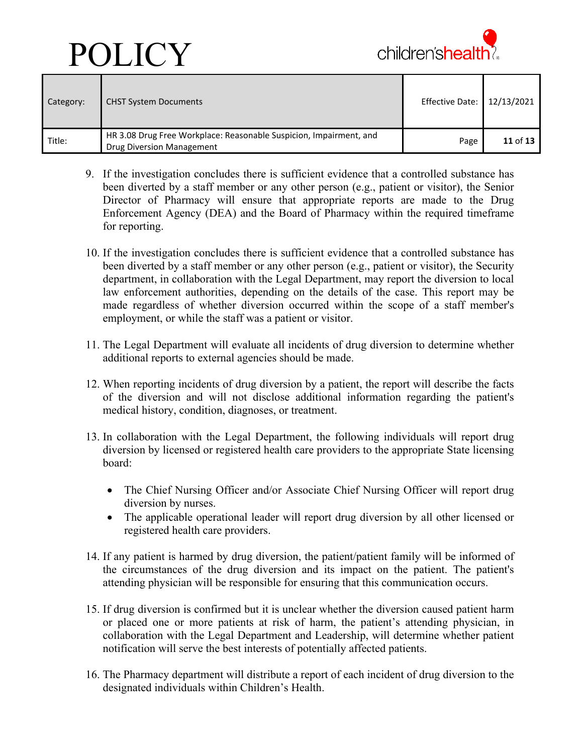

| Category: | <b>CHST System Documents</b>                                                                    | Effective Date:   12/13/2021 |          |
|-----------|-------------------------------------------------------------------------------------------------|------------------------------|----------|
| Title:    | HR 3.08 Drug Free Workplace: Reasonable Suspicion, Impairment, and<br>Drug Diversion Management | Page                         | 11 of 13 |

- 9. If the investigation concludes there is sufficient evidence that a controlled substance has been diverted by a staff member or any other person (e.g., patient or visitor), the Senior Director of Pharmacy will ensure that appropriate reports are made to the Drug Enforcement Agency (DEA) and the Board of Pharmacy within the required timeframe for reporting.
- 10. If the investigation concludes there is sufficient evidence that a controlled substance has been diverted by a staff member or any other person (e.g., patient or visitor), the Security department, in collaboration with the Legal Department, may report the diversion to local law enforcement authorities, depending on the details of the case. This report may be made regardless of whether diversion occurred within the scope of a staff member's employment, or while the staff was a patient or visitor.
- 11. The Legal Department will evaluate all incidents of drug diversion to determine whether additional reports to external agencies should be made.
- 12. When reporting incidents of drug diversion by a patient, the report will describe the facts of the diversion and will not disclose additional information regarding the patient's medical history, condition, diagnoses, or treatment.
- 13. In collaboration with the Legal Department, the following individuals will report drug diversion by licensed or registered health care providers to the appropriate State licensing board:
	- The Chief Nursing Officer and/or Associate Chief Nursing Officer will report drug diversion by nurses.
	- The applicable operational leader will report drug diversion by all other licensed or registered health care providers.
- 14. If any patient is harmed by drug diversion, the patient/patient family will be informed of the circumstances of the drug diversion and its impact on the patient. The patient's attending physician will be responsible for ensuring that this communication occurs.
- 15. If drug diversion is confirmed but it is unclear whether the diversion caused patient harm or placed one or more patients at risk of harm, the patient's attending physician, in collaboration with the Legal Department and Leadership, will determine whether patient notification will serve the best interests of potentially affected patients.
- 16. The Pharmacy department will distribute a report of each incident of drug diversion to the designated individuals within Children's Health.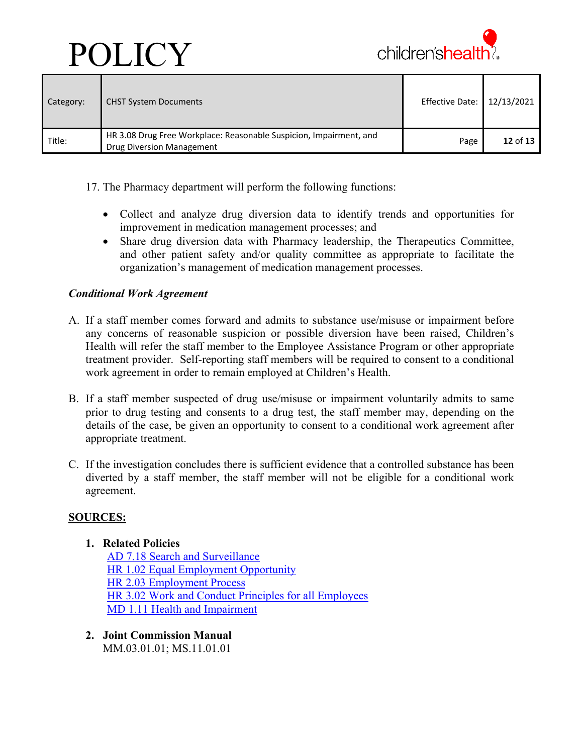

| Category: | <b>CHST System Documents</b>                                                                    | Effective Date:   12/13/2021 |          |
|-----------|-------------------------------------------------------------------------------------------------|------------------------------|----------|
| Title:    | HR 3.08 Drug Free Workplace: Reasonable Suspicion, Impairment, and<br>Drug Diversion Management | Page                         | 12 of 13 |

- 17. The Pharmacy department will perform the following functions:
	- Collect and analyze drug diversion data to identify trends and opportunities for improvement in medication management processes; and
	- Share drug diversion data with Pharmacy leadership, the Therapeutics Committee, and other patient safety and/or quality committee as appropriate to facilitate the organization's management of medication management processes.

## *Conditional Work Agreement*

- A. If a staff member comes forward and admits to substance use/misuse or impairment before any concerns of reasonable suspicion or possible diversion have been raised, Children's Health will refer the staff member to the Employee Assistance Program or other appropriate treatment provider. Self-reporting staff members will be required to consent to a conditional work agreement in order to remain employed at Children's Health.
- B. If a staff member suspected of drug use/misuse or impairment voluntarily admits to same prior to drug testing and consents to a drug test, the staff member may, depending on the details of the case, be given an opportunity to consent to a conditional work agreement after appropriate treatment.
- C. If the investigation concludes there is sufficient evidence that a controlled substance has been diverted by a staff member, the staff member will not be eligible for a conditional work agreement.

### **SOURCES:**

### **1. Related Policies**

[AD 7.18 Search and Surveillance](https://secure.compliance360.com/ext/IEKIZNwRbS41dX8tfT4Jf7PxlcbduZ_l) [HR 1.02 Equal Employment Opportunity](https://secure.compliance360.com/ext/IEKIZNwRbS41dX8tfT4Jf8JXcVkO5nBx) [HR 2.03 Employment Process](https://secure.compliance360.com/ext/IEKIZNwRbS41dX8tfT4JfzfQKao_oQCT) [HR 3.02 Work and Conduct Principles for all Employees](https://secure.compliance360.com/ext/IEKIZNwRbS41dX8tfT4JfznkZzRBcoxt) [MD 1.11 Health and Impairment](https://secure.compliance360.com/ext/IEKIZNwRbS41dX8tfT4Jf0BdDZUj8bmC) 

**2. Joint Commission Manual** MM.03.01.01; MS.11.01.01